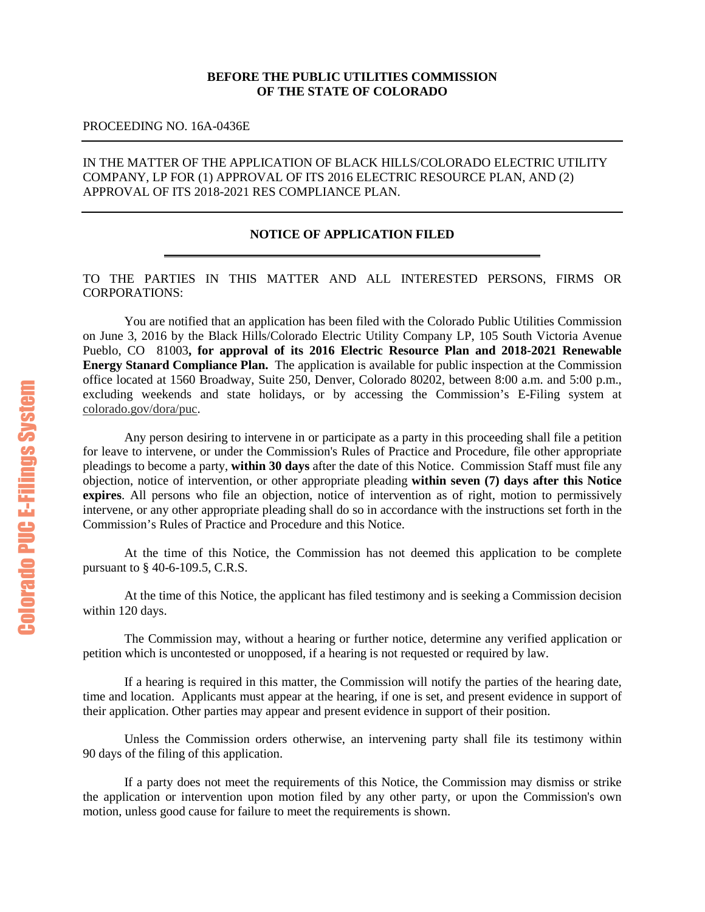## **BEFORE THE PUBLIC UTILITIES COMMISSION OF THE STATE OF COLORADO**

### PROCEEDING NO. 16A-0436E

## IN THE MATTER OF THE APPLICATION OF BLACK HILLS/COLORADO ELECTRIC UTILITY COMPANY, LP FOR (1) APPROVAL OF ITS 2016 ELECTRIC RESOURCE PLAN, AND (2) APPROVAL OF ITS 2018-2021 RES COMPLIANCE PLAN.

### **NOTICE OF APPLICATION FILED**

TO THE PARTIES IN THIS MATTER AND ALL INTERESTED PERSONS, FIRMS OR CORPORATIONS:

You are notified that an application has been filed with the Colorado Public Utilities Commission on June 3, 2016 by the Black Hills/Colorado Electric Utility Company LP, 105 South Victoria Avenue Pueblo, CO 81003**, for approval of its 2016 Electric Resource Plan and 2018-2021 Renewable Energy Stanard Compliance Plan.** The application is available for public inspection at the Commission office located at 1560 Broadway, Suite 250, Denver, Colorado 80202, between 8:00 a.m. and 5:00 p.m., excluding weekends and state holidays, or by accessing the Commission's E-Filing system at [colorado.gov/dora/puc.](https://www.colorado.gov/dora/puc)

Any person desiring to intervene in or participate as a party in this proceeding shall file a petition for leave to intervene, or under the Commission's Rules of Practice and Procedure, file other appropriate pleadings to become a party, **within 30 days** after the date of this Notice. Commission Staff must file any objection, notice of intervention, or other appropriate pleading **within seven (7) days after this Notice expires**. All persons who file an objection, notice of intervention as of right, motion to permissively intervene, or any other appropriate pleading shall do so in accordance with the instructions set forth in the Commission's Rules of Practice and Procedure and this Notice.

At the time of this Notice, the Commission has not deemed this application to be complete pursuant to § 40-6-109.5, C.R.S.

At the time of this Notice, the applicant has filed testimony and is seeking a Commission decision within 120 days.

The Commission may, without a hearing or further notice, determine any verified application or petition which is uncontested or unopposed, if a hearing is not requested or required by law.

If a hearing is required in this matter, the Commission will notify the parties of the hearing date, time and location. Applicants must appear at the hearing, if one is set, and present evidence in support of their application. Other parties may appear and present evidence in support of their position.

Unless the Commission orders otherwise, an intervening party shall file its testimony within 90 days of the filing of this application.

If a party does not meet the requirements of this Notice, the Commission may dismiss or strike the application or intervention upon motion filed by any other party, or upon the Commission's own motion, unless good cause for failure to meet the requirements is shown.